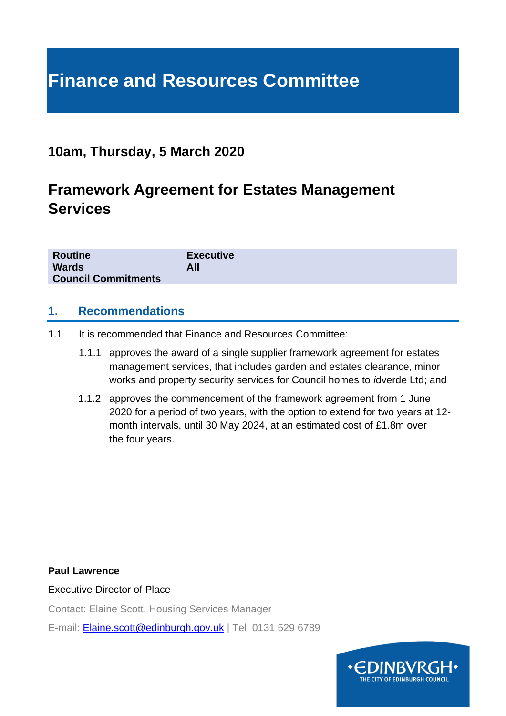# **Finance and Resources Committee**

## **10am, Thursday, 5 March 2020**

# **Framework Agreement for Estates Management Services**

| <b>Routine</b>             | <b>Executive</b> |
|----------------------------|------------------|
| <b>Wards</b>               | All              |
| <b>Council Commitments</b> |                  |

#### **1. Recommendations**

- 1.1 It is recommended that Finance and Resources Committee:
	- 1.1.1 approves the award of a single supplier framework agreement for estates management services, that includes garden and estates clearance, minor works and property security services for Council homes to *i*dverde Ltd; and
	- 1.1.2 approves the commencement of the framework agreement from 1 June 2020 for a period of two years, with the option to extend for two years at 12 month intervals, until 30 May 2024, at an estimated cost of £1.8m over the four years.

**Paul Lawrence**

Executive Director of Place

Contact: Elaine Scott, Housing Services Manager

E-mail: [Elaine.scott@edinburgh.gov.uk](mailto:Elaine.scott@edinburgh.gov.uk) | Tel: 0131 529 6789

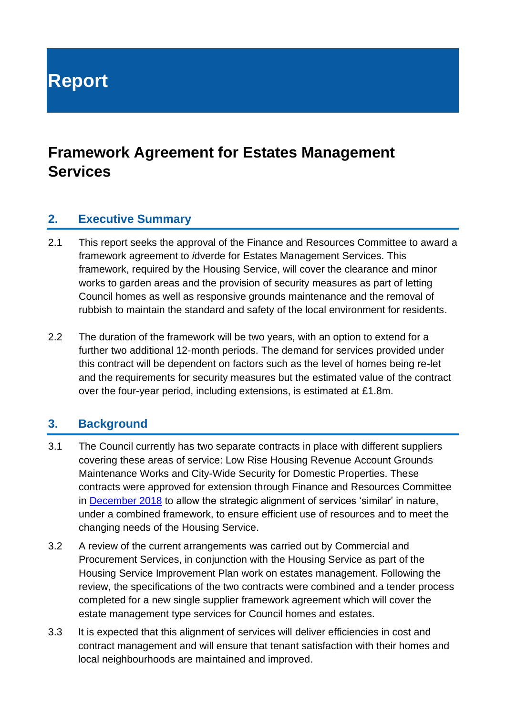**Report**

# **Framework Agreement for Estates Management Services**

#### **2. Executive Summary**

- 2.1 This report seeks the approval of the Finance and Resources Committee to award a framework agreement to *i*dverde for Estates Management Services. This framework, required by the Housing Service, will cover the clearance and minor works to garden areas and the provision of security measures as part of letting Council homes as well as responsive grounds maintenance and the removal of rubbish to maintain the standard and safety of the local environment for residents.
- 2.2 The duration of the framework will be two years, with an option to extend for a further two additional 12-month periods. The demand for services provided under this contract will be dependent on factors such as the level of homes being re-let and the requirements for security measures but the estimated value of the contract over the four-year period, including extensions, is estimated at £1.8m.

#### **3. Background**

- 3.1 The Council currently has two separate contracts in place with different suppliers covering these areas of service: Low Rise Housing Revenue Account Grounds Maintenance Works and City-Wide Security for Domestic Properties. These contracts were approved for extension through Finance and Resources Committee in [December 2018](https://democracy.edinburgh.gov.uk/CeListDocuments.aspx?CommitteeId=140&MeetingId=2310&DF=04%2f12%2f2018&Ver=2) to allow the strategic alignment of services 'similar' in nature, under a combined framework, to ensure efficient use of resources and to meet the changing needs of the Housing Service.
- 3.2 A review of the current arrangements was carried out by Commercial and Procurement Services, in conjunction with the Housing Service as part of the Housing Service Improvement Plan work on estates management. Following the review, the specifications of the two contracts were combined and a tender process completed for a new single supplier framework agreement which will cover the estate management type services for Council homes and estates.
- 3.3 It is expected that this alignment of services will deliver efficiencies in cost and contract management and will ensure that tenant satisfaction with their homes and local neighbourhoods are maintained and improved.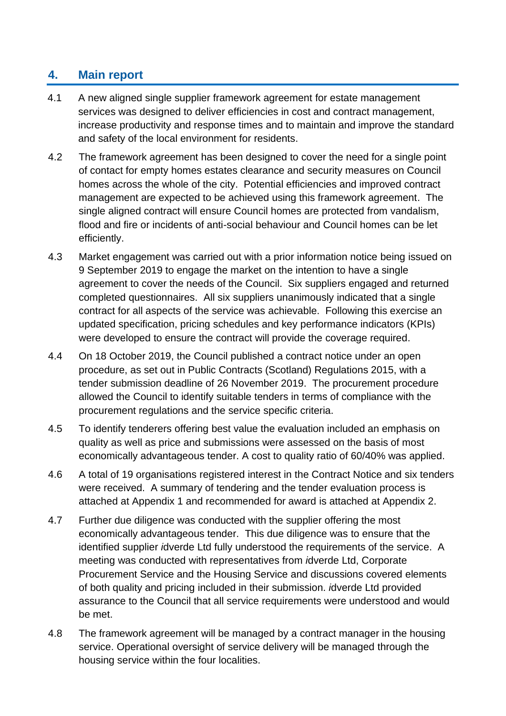#### **4. Main report**

- 4.1 A new aligned single supplier framework agreement for estate management services was designed to deliver efficiencies in cost and contract management, increase productivity and response times and to maintain and improve the standard and safety of the local environment for residents.
- 4.2 The framework agreement has been designed to cover the need for a single point of contact for empty homes estates clearance and security measures on Council homes across the whole of the city. Potential efficiencies and improved contract management are expected to be achieved using this framework agreement. The single aligned contract will ensure Council homes are protected from vandalism, flood and fire or incidents of anti-social behaviour and Council homes can be let efficiently.
- 4.3 Market engagement was carried out with a prior information notice being issued on 9 September 2019 to engage the market on the intention to have a single agreement to cover the needs of the Council. Six suppliers engaged and returned completed questionnaires. All six suppliers unanimously indicated that a single contract for all aspects of the service was achievable. Following this exercise an updated specification, pricing schedules and key performance indicators (KPIs) were developed to ensure the contract will provide the coverage required.
- 4.4 On 18 October 2019, the Council published a contract notice under an open procedure, as set out in Public Contracts (Scotland) Regulations 2015, with a tender submission deadline of 26 November 2019. The procurement procedure allowed the Council to identify suitable tenders in terms of compliance with the procurement regulations and the service specific criteria.
- 4.5 To identify tenderers offering best value the evaluation included an emphasis on quality as well as price and submissions were assessed on the basis of most economically advantageous tender. A cost to quality ratio of 60/40% was applied.
- 4.6 A total of 19 organisations registered interest in the Contract Notice and six tenders were received. A summary of tendering and the tender evaluation process is attached at Appendix 1 and recommended for award is attached at Appendix 2.
- 4.7 Further due diligence was conducted with the supplier offering the most economically advantageous tender. This due diligence was to ensure that the identified supplier *i*dverde Ltd fully understood the requirements of the service. A meeting was conducted with representatives from *i*dverde Ltd, Corporate Procurement Service and the Housing Service and discussions covered elements of both quality and pricing included in their submission. *i*dverde Ltd provided assurance to the Council that all service requirements were understood and would be met.
- 4.8 The framework agreement will be managed by a contract manager in the housing service. Operational oversight of service delivery will be managed through the housing service within the four localities.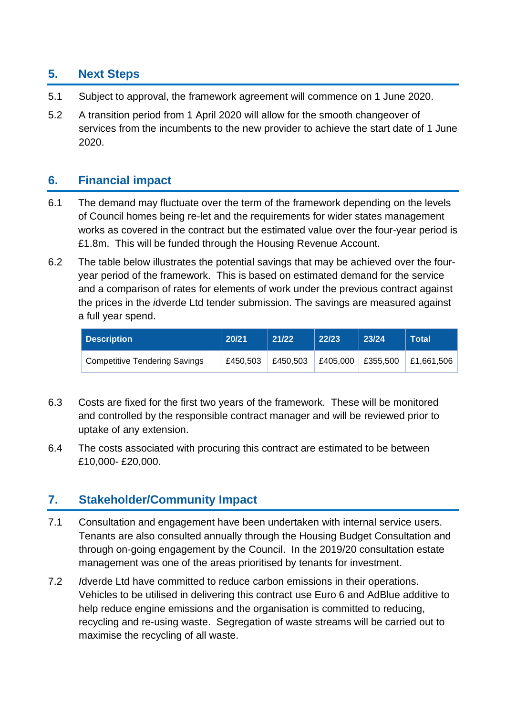#### **5. Next Steps**

- 5.1 Subject to approval, the framework agreement will commence on 1 June 2020.
- 5.2 A transition period from 1 April 2020 will allow for the smooth changeover of services from the incumbents to the new provider to achieve the start date of 1 June 2020.

#### **6. Financial impact**

- 6.1 The demand may fluctuate over the term of the framework depending on the levels of Council homes being re-let and the requirements for wider states management works as covered in the contract but the estimated value over the four-year period is £1.8m. This will be funded through the Housing Revenue Account.
- 6.2 The table below illustrates the potential savings that may be achieved over the fouryear period of the framework. This is based on estimated demand for the service and a comparison of rates for elements of work under the previous contract against the prices in the *i*dverde Ltd tender submission. The savings are measured against a full year spend.

| Description                          | 20/21    | 21/22    | 22/23             | 23/24 | <b>Total</b> |
|--------------------------------------|----------|----------|-------------------|-------|--------------|
| <b>Competitive Tendering Savings</b> | £450.503 | £450.503 | £405,000 £355,500 |       | £1,661,506   |

- 6.3 Costs are fixed for the first two years of the framework. These will be monitored and controlled by the responsible contract manager and will be reviewed prior to uptake of any extension.
- 6.4 The costs associated with procuring this contract are estimated to be between £10,000- £20,000.

#### **7. Stakeholder/Community Impact**

- 7.1 Consultation and engagement have been undertaken with internal service users. Tenants are also consulted annually through the Housing Budget Consultation and through on-going engagement by the Council. In the 2019/20 consultation estate management was one of the areas prioritised by tenants for investment.
- 7.2 *I*dverde Ltd have committed to reduce carbon emissions in their operations. Vehicles to be utilised in delivering this contract use Euro 6 and AdBlue additive to help reduce engine emissions and the organisation is committed to reducing, recycling and re-using waste. Segregation of waste streams will be carried out to maximise the recycling of all waste.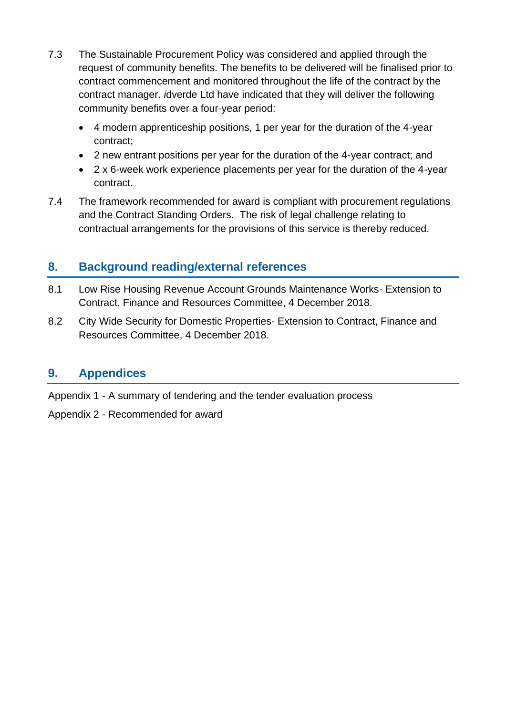- 7.3 The Sustainable Procurement Policy was considered and applied through the request of community benefits. The benefits to be delivered will be finalised prior to contract commencement and monitored throughout the life of the contract by the contract manager. *i*dverde Ltd have indicated that they will deliver the following community benefits over a four-year period:
	- 4 modern apprenticeship positions, 1 per year for the duration of the 4-year contract;
	- 2 new entrant positions per year for the duration of the 4-year contract; and
	- 2 x 6-week work experience placements per year for the duration of the 4-year contract.
- 7.4 The framework recommended for award is compliant with procurement regulations and the Contract Standing Orders. The risk of legal challenge relating to contractual arrangements for the provisions of this service is thereby reduced.

#### **8. Background reading/external references**

- 8.1 Low Rise Housing Revenue Account Grounds Maintenance Works- Extension to Contract, Finance and Resources Committee, 4 December 2018.
- 8.2 City Wide Security for Domestic Properties- Extension to Contract, Finance and Resources Committee, 4 December 2018.

#### **9. Appendices**

Appendix 1 - A summary of tendering and the tender evaluation process

Appendix 2 - Recommended for award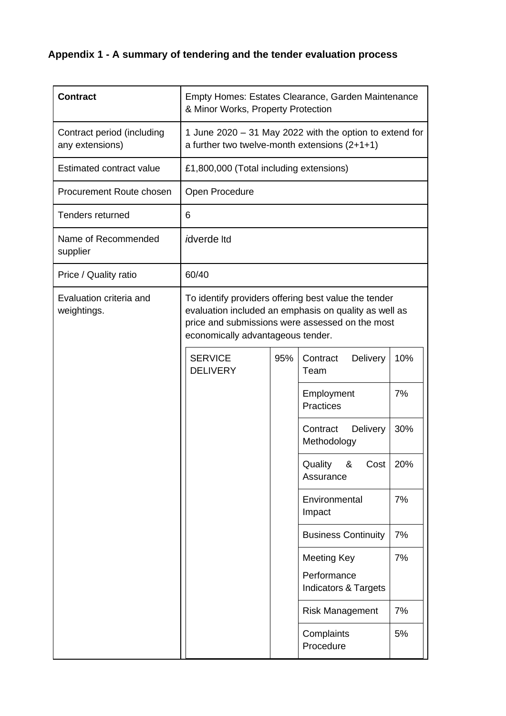## **Appendix 1 - A summary of tendering and the tender evaluation process**

| <b>Contract</b>                               | Empty Homes: Estates Clearance, Garden Maintenance<br>& Minor Works, Property Protection                                                                                                              |     |                                                |     |
|-----------------------------------------------|-------------------------------------------------------------------------------------------------------------------------------------------------------------------------------------------------------|-----|------------------------------------------------|-----|
| Contract period (including<br>any extensions) | 1 June 2020 - 31 May 2022 with the option to extend for<br>a further two twelve-month extensions $(2+1+1)$                                                                                            |     |                                                |     |
| <b>Estimated contract value</b>               | £1,800,000 (Total including extensions)                                                                                                                                                               |     |                                                |     |
| Procurement Route chosen                      | Open Procedure                                                                                                                                                                                        |     |                                                |     |
| <b>Tenders returned</b>                       | 6                                                                                                                                                                                                     |     |                                                |     |
| Name of Recommended<br>supplier               | <i>i</i> dverde Itd                                                                                                                                                                                   |     |                                                |     |
| Price / Quality ratio                         | 60/40                                                                                                                                                                                                 |     |                                                |     |
| Evaluation criteria and<br>weightings.        | To identify providers offering best value the tender<br>evaluation included an emphasis on quality as well as<br>price and submissions were assessed on the most<br>economically advantageous tender. |     |                                                |     |
|                                               | <b>SERVICE</b><br><b>DELIVERY</b>                                                                                                                                                                     | 95% | Contract<br>Delivery<br>Team                   | 10% |
|                                               |                                                                                                                                                                                                       |     | Employment<br><b>Practices</b>                 | 7%  |
|                                               |                                                                                                                                                                                                       |     | Contract<br><b>Delivery</b><br>Methodology     | 30% |
|                                               |                                                                                                                                                                                                       |     | $Cost$ 20%<br>Quality<br>&<br>Assurance        |     |
|                                               |                                                                                                                                                                                                       |     | Environmental<br>Impact                        | 7%  |
|                                               |                                                                                                                                                                                                       |     | <b>Business Continuity</b>                     | 7%  |
|                                               |                                                                                                                                                                                                       |     | <b>Meeting Key</b>                             | 7%  |
|                                               |                                                                                                                                                                                                       |     | Performance<br><b>Indicators &amp; Targets</b> |     |
|                                               |                                                                                                                                                                                                       |     | <b>Risk Management</b>                         | 7%  |
|                                               |                                                                                                                                                                                                       |     | Complaints<br>Procedure                        | 5%  |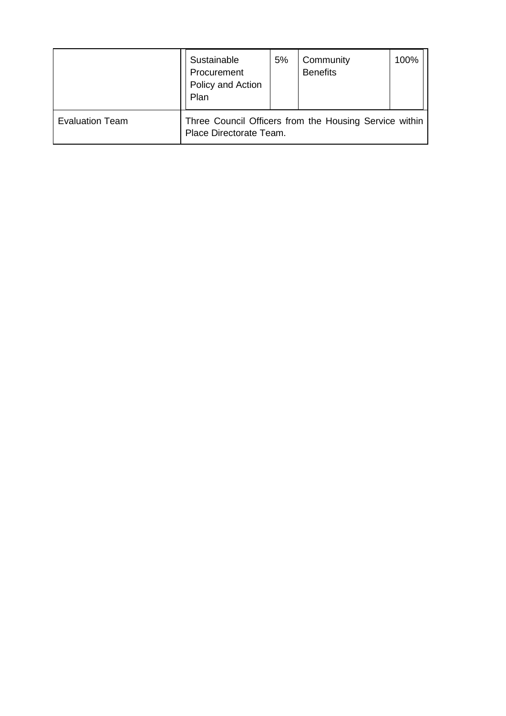|                        | Sustainable<br>Procurement<br>Policy and Action<br>Plan                           | 5% | Community<br><b>Benefits</b> | 100% |
|------------------------|-----------------------------------------------------------------------------------|----|------------------------------|------|
| <b>Evaluation Team</b> | Three Council Officers from the Housing Service within<br>Place Directorate Team. |    |                              |      |